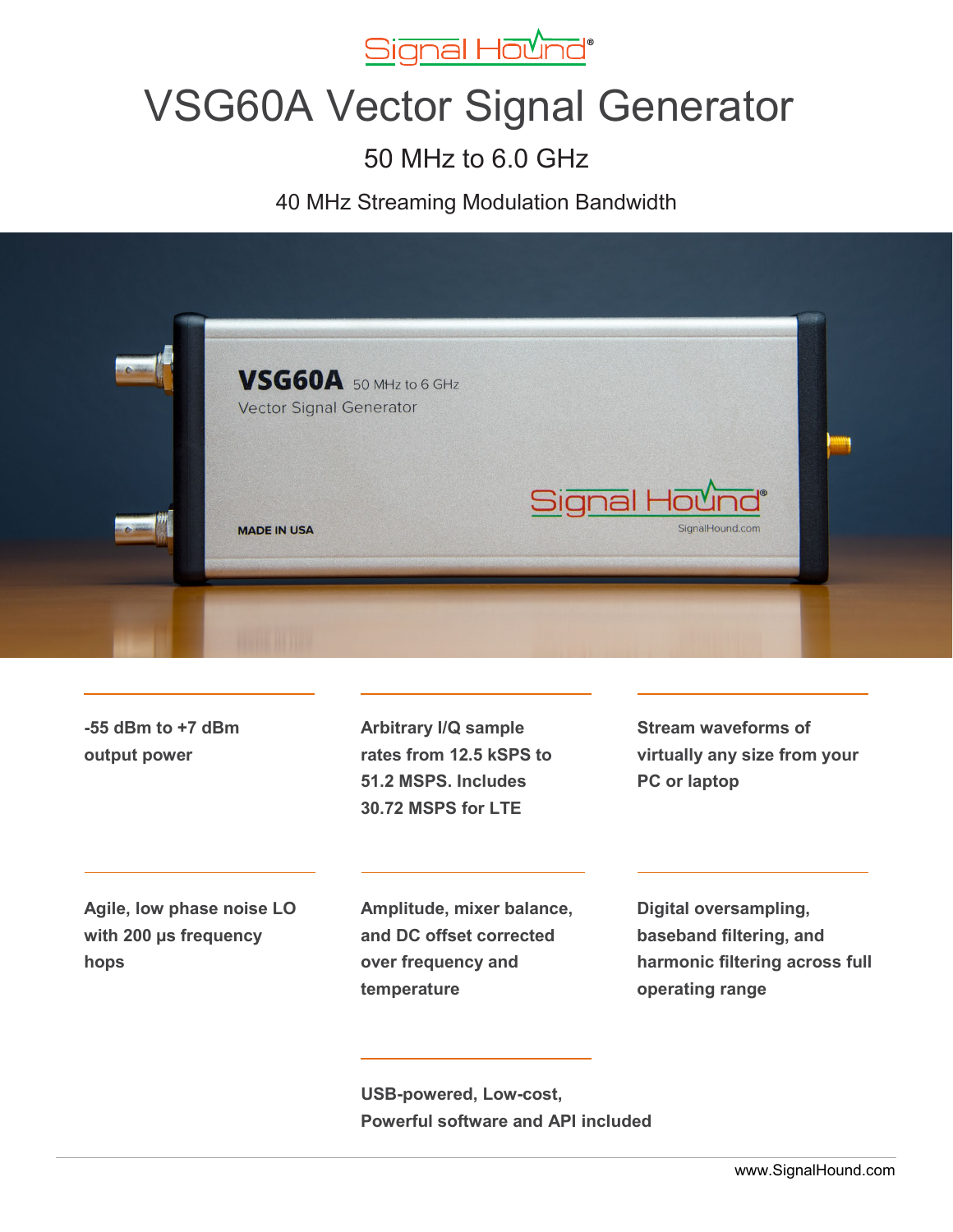

# VSG60A Vector Signal Generator

# 50 MHz to 6.0 GHz

40 MHz Streaming Modulation Bandwidth



**-55 dBm to +7 dBm output power**

**Arbitrary I/Q sample rates from 12.5 kSPS to 51.2 MSPS. Includes 30.72 MSPS for LTE**

**Stream waveforms of virtually any size from your PC or laptop**

**Agile, low phase noise LO with 200 µs frequency hops**

**Amplitude, mixer balance, and DC offset corrected over frequency and temperature**

**Digital oversampling, baseband filtering, and harmonic filtering across full operating range**

 **USB-powered, Low-cost, Powerful software and API included**